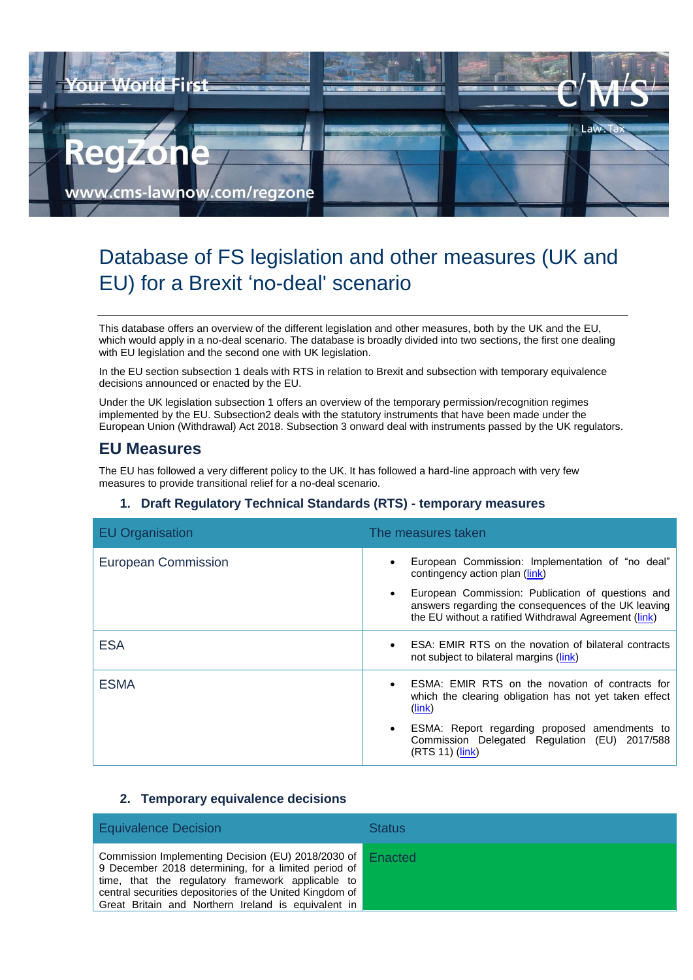

# Database of FS legislation and other measures (UK and EU) for a Brexit 'no-deal' scenario

This database offers an overview of the different legislation and other measures, both by the UK and the EU, which would apply in a no-deal scenario. The database is broadly divided into two sections, the first one dealing with EU legislation and the second one with UK legislation.

In the EU section subsection 1 deals with RTS in relation to Brexit and subsection with temporary equivalence decisions announced or enacted by the EU.

Under the UK legislation subsection 1 offers an overview of the temporary permission/recognition regimes implemented by the EU. Subsection2 deals with the statutory instruments that have been made under the European Union (Withdrawal) Act 2018. Subsection 3 onward deal with instruments passed by the UK regulators.

## **EU Measures**

The EU has followed a very different policy to the UK. It has followed a hard-line approach with very few measures to provide transitional relief for a no-deal scenario.

| <b>EU Organisation</b>     | The measures taken                                                                                                                                                 |
|----------------------------|--------------------------------------------------------------------------------------------------------------------------------------------------------------------|
| <b>European Commission</b> | European Commission: Implementation of "no deal"<br>contingency action plan (link)                                                                                 |
|                            | European Commission: Publication of questions and<br>answers regarding the consequences of the UK leaving<br>the EU without a ratified Withdrawal Agreement (link) |
| <b>ESA</b>                 | ESA: EMIR RTS on the novation of bilateral contracts<br>not subject to bilateral margins (link)                                                                    |
| <b>ESMA</b>                | ESMA: EMIR RTS on the novation of contracts for<br>which the clearing obligation has not yet taken effect<br>$(\mathsf{link})$                                     |
|                            | ESMA: Report regarding proposed amendments to<br>Commission Delegated Regulation (EU) 2017/588<br>(RTS 11) (link)                                                  |

### **1. Draft Regulatory Technical Standards (RTS) - temporary measures**

### **2. Temporary equivalence decisions**

| <b>Equivalence Decision</b>                                                                                                                                                                                                                                                        | <b>Status</b> |
|------------------------------------------------------------------------------------------------------------------------------------------------------------------------------------------------------------------------------------------------------------------------------------|---------------|
| Commission Implementing Decision (EU) 2018/2030 of<br>9 December 2018 determining, for a limited period of<br>time, that the regulatory framework applicable to<br>central securities depositories of the United Kingdom of<br>Great Britain and Northern Ireland is equivalent in | Enacted       |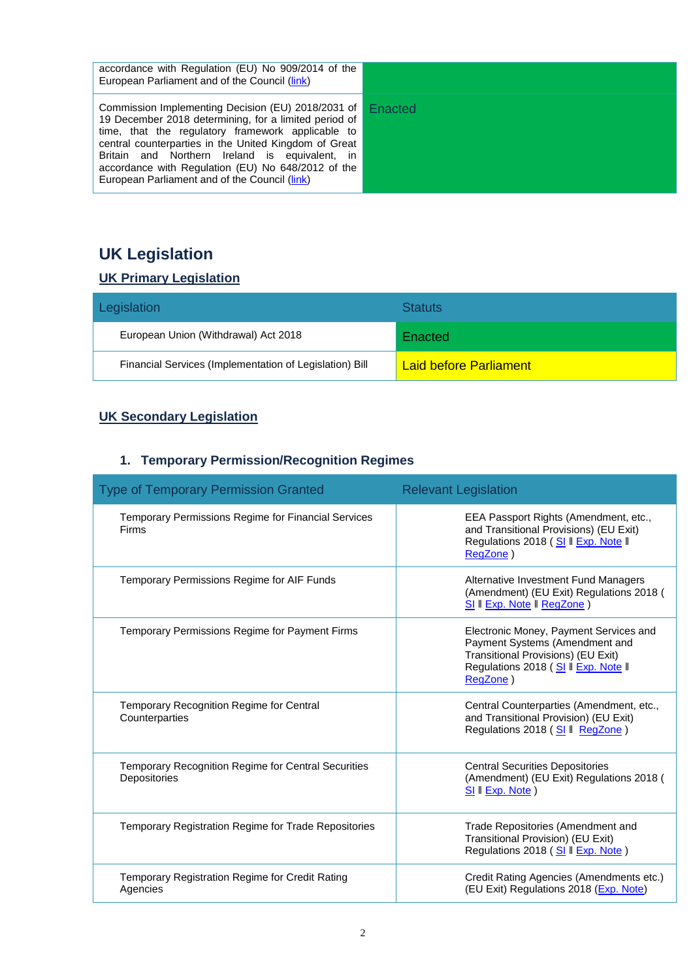| accordance with Regulation (EU) No 909/2014 of the<br>European Parliament and of the Council (link)                                                                                                                                                                                                                                                                                |         |
|------------------------------------------------------------------------------------------------------------------------------------------------------------------------------------------------------------------------------------------------------------------------------------------------------------------------------------------------------------------------------------|---------|
| Commission Implementing Decision (EU) 2018/2031 of<br>19 December 2018 determining, for a limited period of<br>time, that the regulatory framework applicable to<br>central counterparties in the United Kingdom of Great<br>Britain and Northern Ireland is equivalent, in<br>accordance with Regulation (EU) No 648/2012 of the<br>European Parliament and of the Council (link) | Enacted |

# **UK Legislation**

## **UK Primary Legislation**

| Legislation                                             | <b>Statuts</b>                |
|---------------------------------------------------------|-------------------------------|
| European Union (Withdrawal) Act 2018                    | Enacted                       |
| Financial Services (Implementation of Legislation) Bill | <b>Laid before Parliament</b> |

## **UK Secondary Legislation**

## **1. Temporary Permission/Recognition Regimes**

| <b>Type of Temporary Permission Granted</b>                                | <b>Relevant Legislation</b>                                                                                                                                        |
|----------------------------------------------------------------------------|--------------------------------------------------------------------------------------------------------------------------------------------------------------------|
| Temporary Permissions Regime for Financial Services<br>Firms               | EEA Passport Rights (Amendment, etc.,<br>and Transitional Provisions) (EU Exit)<br>Regulations 2018 (SI   Exp. Note   <br>RegZone)                                 |
| Temporary Permissions Regime for AIF Funds                                 | Alternative Investment Fund Managers<br>(Amendment) (EU Exit) Regulations 2018 (<br>SI II Exp. Note II RegZone )                                                   |
| Temporary Permissions Regime for Payment Firms                             | Electronic Money, Payment Services and<br>Payment Systems (Amendment and<br>Transitional Provisions) (EU Exit)<br>Regulations 2018 (SI II Exp. Note II<br>RegZone) |
| Temporary Recognition Regime for Central<br>Counterparties                 | Central Counterparties (Amendment, etc.,<br>and Transitional Provision) (EU Exit)<br>Regulations 2018 (SI II RegZone)                                              |
| <b>Temporary Recognition Regime for Central Securities</b><br>Depositories | <b>Central Securities Depositories</b><br>(Amendment) (EU Exit) Regulations 2018 (<br>SI II Exp. Note)                                                             |
| Temporary Registration Regime for Trade Repositories                       | Trade Repositories (Amendment and<br>Transitional Provision) (EU Exit)<br>Regulations 2018 (SI II Exp. Note)                                                       |
| Temporary Registration Regime for Credit Rating<br>Agencies                | Credit Rating Agencies (Amendments etc.)<br>(EU Exit) Regulations 2018 (Exp. Note)                                                                                 |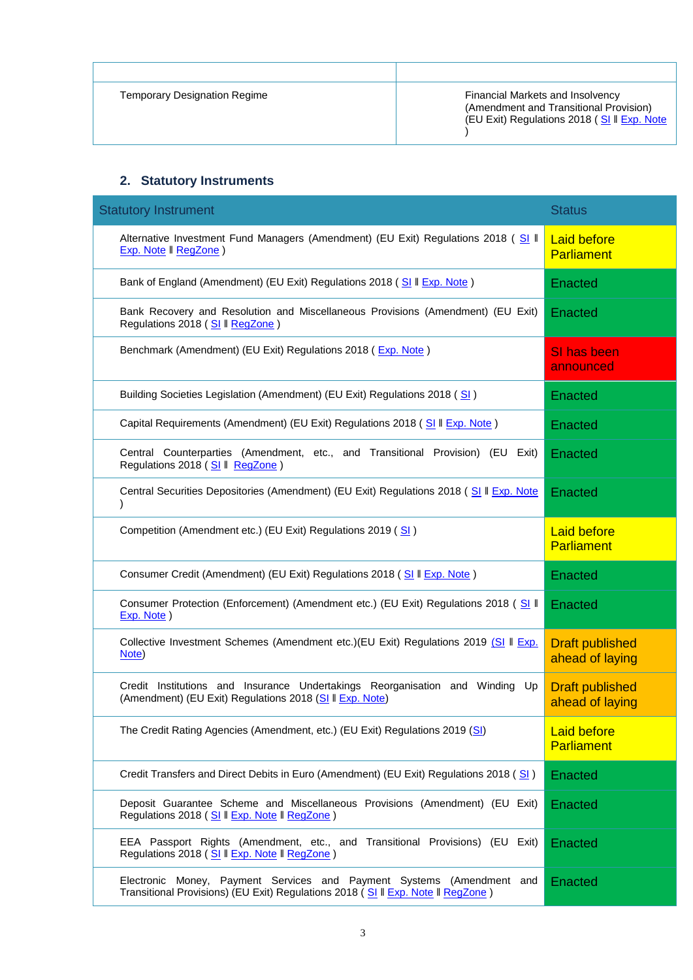| <b>Temporary Designation Regime</b> | Financial Markets and Insolvency<br>(Amendment and Transitional Provision)<br>(EU Exit) Regulations 2018 (SI II Exp. Note |
|-------------------------------------|---------------------------------------------------------------------------------------------------------------------------|

### **2. Statutory Instruments**

| <b>Statutory Instrument</b>                                                                                                                               | <b>Status</b>                             |
|-----------------------------------------------------------------------------------------------------------------------------------------------------------|-------------------------------------------|
| Alternative Investment Fund Managers (Amendment) (EU Exit) Regulations 2018 (SI II<br>Exp. Note   RegZone)                                                | <b>Laid before</b><br><b>Parliament</b>   |
| Bank of England (Amendment) (EU Exit) Regulations 2018 (SI II Exp. Note)                                                                                  | Enacted                                   |
| Bank Recovery and Resolution and Miscellaneous Provisions (Amendment) (EU Exit)<br>Regulations 2018 (SI   RegZone)                                        | Enacted                                   |
| Benchmark (Amendment) (EU Exit) Regulations 2018 (Exp. Note)                                                                                              | SI has been<br>announced                  |
| Building Societies Legislation (Amendment) (EU Exit) Regulations 2018 (SI)                                                                                | Enacted                                   |
| Capital Requirements (Amendment) (EU Exit) Regulations 2018 (SI II Exp. Note)                                                                             | Enacted                                   |
| Central Counterparties (Amendment, etc., and Transitional Provision) (EU Exit)<br>Regulations 2018 (SI   RegZone)                                         | Enacted                                   |
| Central Securities Depositories (Amendment) (EU Exit) Regulations 2018 (SI II Exp. Note                                                                   | Enacted                                   |
| Competition (Amendment etc.) (EU Exit) Regulations 2019 (SI)                                                                                              | <b>Laid before</b><br><b>Parliament</b>   |
| Consumer Credit (Amendment) (EU Exit) Regulations 2018 (SI II Exp. Note)                                                                                  | Enacted                                   |
| Consumer Protection (Enforcement) (Amendment etc.) (EU Exit) Regulations 2018 (SI II<br>Exp. Note)                                                        | Enacted                                   |
| Collective Investment Schemes (Amendment etc.)(EU Exit) Regulations 2019 (SI II Exp.<br>Note)                                                             | <b>Draft published</b><br>ahead of laying |
| Credit Institutions and Insurance Undertakings Reorganisation and Winding Up<br>(Amendment) (EU Exit) Regulations 2018 (SI II Exp. Note)                  | <b>Draft published</b><br>ahead of laying |
| The Credit Rating Agencies (Amendment, etc.) (EU Exit) Regulations 2019 (SI)                                                                              | <b>Laid before</b><br>Parliament          |
| Credit Transfers and Direct Debits in Euro (Amendment) (EU Exit) Regulations 2018 (SI)                                                                    | Enacted                                   |
| Deposit Guarantee Scheme and Miscellaneous Provisions (Amendment) (EU Exit)<br>Regulations 2018 (SI II Exp. Note II RegZone)                              | Enacted                                   |
| EEA Passport Rights (Amendment, etc., and Transitional Provisions) (EU Exit)<br>Regulations 2018 (SI II Exp. Note II RegZone)                             | Enacted                                   |
| Electronic Money, Payment Services and Payment Systems (Amendment and<br>Transitional Provisions) (EU Exit) Regulations 2018 (SI II Exp. Note II RegZone) | Enacted                                   |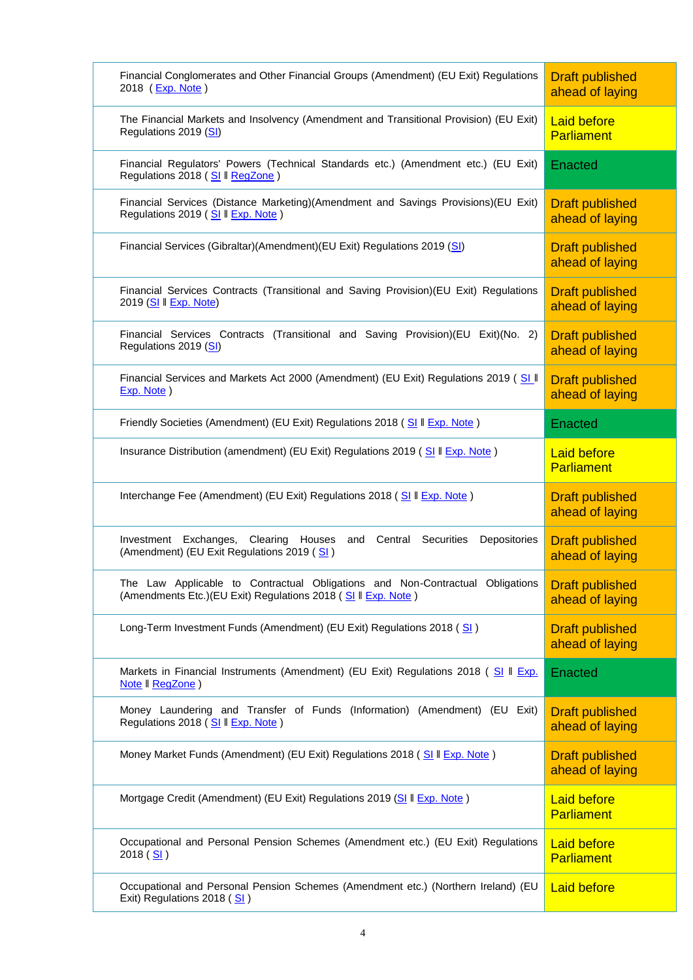| Financial Conglomerates and Other Financial Groups (Amendment) (EU Exit) Regulations<br>2018 (Exp. Note)                                        | <b>Draft published</b><br>ahead of laying |
|-------------------------------------------------------------------------------------------------------------------------------------------------|-------------------------------------------|
| The Financial Markets and Insolvency (Amendment and Transitional Provision) (EU Exit)<br>Regulations 2019 (SI)                                  | <b>Laid before</b><br><b>Parliament</b>   |
| Financial Regulators' Powers (Technical Standards etc.) (Amendment etc.) (EU Exit)<br>Regulations 2018 (SI   RegZone)                           | Enacted                                   |
| Financial Services (Distance Marketing)(Amendment and Savings Provisions)(EU Exit)<br>Regulations 2019 (SI II Exp. Note)                        | <b>Draft published</b><br>ahead of laying |
| Financial Services (Gibraltar)(Amendment)(EU Exit) Regulations 2019 (SI)                                                                        | <b>Draft published</b><br>ahead of laying |
| Financial Services Contracts (Transitional and Saving Provision)(EU Exit) Regulations<br>2019 (SI II Exp. Note)                                 | <b>Draft published</b><br>ahead of laying |
| Financial Services Contracts (Transitional and Saving Provision)(EU Exit)(No. 2)<br>Regulations 2019 (SI)                                       | <b>Draft published</b><br>ahead of laying |
| Financial Services and Markets Act 2000 (Amendment) (EU Exit) Regulations 2019 (SLII<br>Exp. Note)                                              | <b>Draft published</b><br>ahead of laying |
| Friendly Societies (Amendment) (EU Exit) Regulations 2018 (SI II Exp. Note)                                                                     | <b>Enacted</b>                            |
| Insurance Distribution (amendment) (EU Exit) Regulations 2019 (SI II Exp. Note)                                                                 | <b>Laid before</b><br><b>Parliament</b>   |
| Interchange Fee (Amendment) (EU Exit) Regulations 2018 (SI II Exp. Note)                                                                        | <b>Draft published</b><br>ahead of laying |
| Clearing Houses<br>and Central<br>Securities<br>Depositories<br>Investment Exchanges,<br>(Amendment) (EU Exit Regulations 2019 (SI)             | <b>Draft published</b><br>ahead of laying |
| The Law Applicable to Contractual Obligations and Non-Contractual Obligations<br>(Amendments Etc.) (EU Exit) Regulations 2018 (SI II Exp. Note) | <b>Draft published</b><br>ahead of laying |
| Long-Term Investment Funds (Amendment) (EU Exit) Regulations 2018 (SI)                                                                          | <b>Draft published</b><br>ahead of laying |
| Markets in Financial Instruments (Amendment) (EU Exit) Regulations 2018 (SI II Exp.<br>Note II RegZone)                                         | Enacted                                   |
| Money Laundering and Transfer of Funds (Information) (Amendment) (EU Exit)<br>Regulations 2018 (SI II Exp. Note)                                | <b>Draft published</b><br>ahead of laying |
| Money Market Funds (Amendment) (EU Exit) Regulations 2018 (SI II Exp. Note)                                                                     | <b>Draft published</b><br>ahead of laying |
| Mortgage Credit (Amendment) (EU Exit) Regulations 2019 (SI II Exp. Note)                                                                        | <b>Laid before</b><br>Parliament          |
| Occupational and Personal Pension Schemes (Amendment etc.) (EU Exit) Regulations<br>2018 $(S)$                                                  | <b>Laid before</b><br><b>Parliament</b>   |
| Occupational and Personal Pension Schemes (Amendment etc.) (Northern Ireland) (EU<br>Exit) Regulations 2018 (SI)                                | <b>Laid before</b>                        |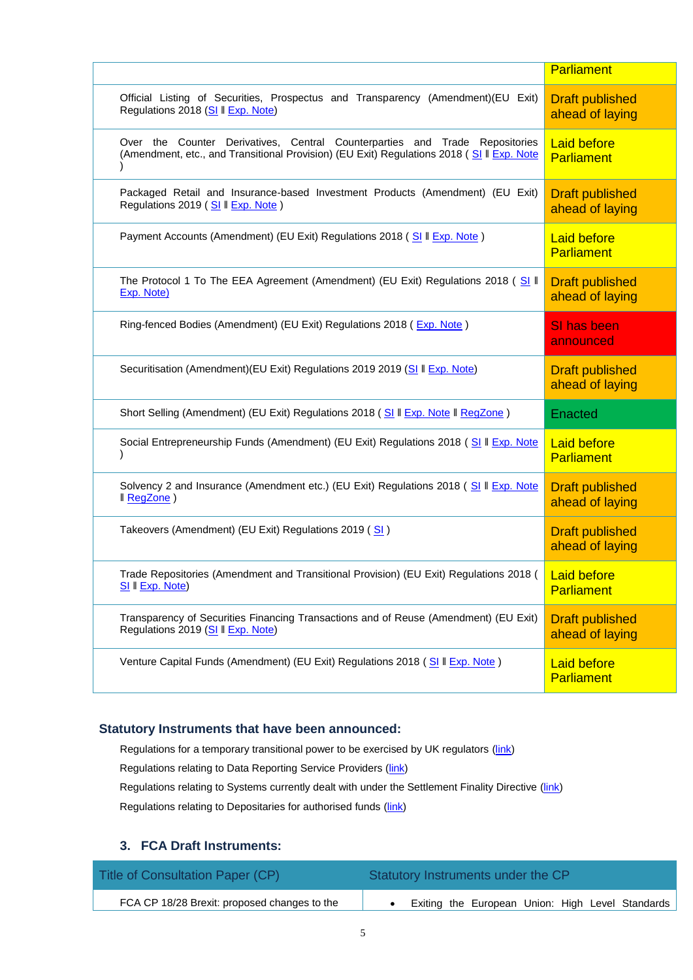|                                                                                                                                                                          | Parliament                                |
|--------------------------------------------------------------------------------------------------------------------------------------------------------------------------|-------------------------------------------|
| Official Listing of Securities, Prospectus and Transparency (Amendment)(EU Exit)<br>Regulations 2018 (SI II Exp. Note)                                                   | <b>Draft published</b><br>ahead of laying |
| Over the Counter Derivatives, Central Counterparties and Trade Repositories<br>(Amendment, etc., and Transitional Provision) (EU Exit) Regulations 2018 (SI II Exp. Note | <b>Laid before</b><br><b>Parliament</b>   |
| Packaged Retail and Insurance-based Investment Products (Amendment) (EU Exit)<br>Regulations 2019 (SI II Exp. Note)                                                      | <b>Draft published</b><br>ahead of laying |
| Payment Accounts (Amendment) (EU Exit) Regulations 2018 (SI II Exp. Note)                                                                                                | <b>Laid before</b><br><b>Parliament</b>   |
| The Protocol 1 To The EEA Agreement (Amendment) (EU Exit) Regulations 2018 (SI II<br>Exp. Note)                                                                          | <b>Draft published</b><br>ahead of laying |
| Ring-fenced Bodies (Amendment) (EU Exit) Regulations 2018 (Exp. Note)                                                                                                    | SI has been<br>announced                  |
| Securitisation (Amendment)(EU Exit) Regulations 2019 2019 (SI II Exp. Note)                                                                                              | <b>Draft published</b><br>ahead of laying |
| Short Selling (Amendment) (EU Exit) Regulations 2018 (SI II Exp. Note II RegZone)                                                                                        | Enacted                                   |
| Social Entrepreneurship Funds (Amendment) (EU Exit) Regulations 2018 (SI II Exp. Note                                                                                    | <b>Laid before</b><br><b>Parliament</b>   |
| Solvency 2 and Insurance (Amendment etc.) (EU Exit) Regulations 2018 (SI II Exp. Note<br>Il RegZone)                                                                     | <b>Draft published</b><br>ahead of laying |
| Takeovers (Amendment) (EU Exit) Regulations 2019 (SI)                                                                                                                    | <b>Draft published</b><br>ahead of laying |
| Trade Repositories (Amendment and Transitional Provision) (EU Exit) Regulations 2018 (<br>SI II Exp. Note)                                                               | <b>Laid before</b><br>Parliament          |
| Transparency of Securities Financing Transactions and of Reuse (Amendment) (EU Exit)<br>Regulations 2019 (SI II Exp. Note)                                               | <b>Draft published</b><br>ahead of laying |
| Venture Capital Funds (Amendment) (EU Exit) Regulations 2018 (SI II Exp. Note)                                                                                           | <b>Laid before</b><br><b>Parliament</b>   |

#### **Statutory Instruments that have been announced:**

Regulations for a temporary transitional power to be exercised by UK regulators [\(link\)](https://www.gov.uk/government/publications/proposal-for-a-temporary-transitional-power-to-be-exercised-by-uk-regulators) Regulations relating to Data Reporting Service Providers [\(link\)](https://www.gov.uk/government/publications/banking-insurance-and-other-financial-services-if-theres-no-brexit-deal/banking-insurance-and-other-financial-services-if-theres-no-brexit-deal) Regulations relating to Systems currently dealt with under the Settlement Finality Directive [\(link\)](https://www.bankofengland.co.uk/-/media/boe/files/letter/2018/letter-to-eu-systems-designated-under-the-settlement-finality-directive.pdf?la=en&hash=67C3509971A3381713439132785EA57AF9F0CA67) Regulations relating to Depositaries for authorised funds [\(link\)](https://www.gov.uk/government/publications/banking-insurance-and-other-financial-services-if-theres-no-brexit-deal/banking-insurance-and-other-financial-services-if-theres-no-brexit-deal)

### **3. FCA Draft Instruments:**

| Title of Consultation Paper (CP)             | Statutory Instruments under the CP               |
|----------------------------------------------|--------------------------------------------------|
| FCA CP 18/28 Brexit: proposed changes to the | Exiting the European Union: High Level Standards |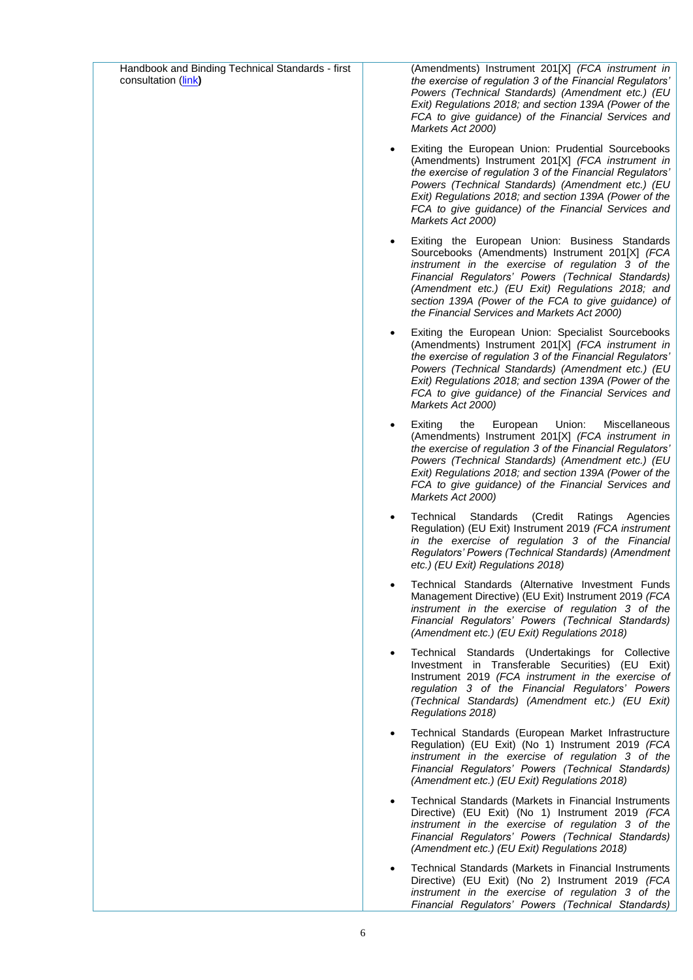| Handbook and Binding Technical Standards - first<br>consultation (link) | (Amendments) Instrument 201[X] (FCA instrument in<br>the exercise of regulation 3 of the Financial Regulators'<br>Powers (Technical Standards) (Amendment etc.) (EU<br>Exit) Regulations 2018; and section 139A (Power of the<br>FCA to give guidance) of the Financial Services and<br>Markets Act 2000)                                                                            |
|-------------------------------------------------------------------------|--------------------------------------------------------------------------------------------------------------------------------------------------------------------------------------------------------------------------------------------------------------------------------------------------------------------------------------------------------------------------------------|
|                                                                         | Exiting the European Union: Prudential Sourcebooks<br>(Amendments) Instrument 201[X] (FCA instrument in<br>the exercise of regulation 3 of the Financial Regulators'<br>Powers (Technical Standards) (Amendment etc.) (EU<br>Exit) Regulations 2018; and section 139A (Power of the<br>FCA to give guidance) of the Financial Services and<br>Markets Act 2000)                      |
|                                                                         | Exiting the European Union: Business Standards<br>$\bullet$<br>Sourcebooks (Amendments) Instrument 201[X] (FCA<br>instrument in the exercise of regulation 3 of the<br>Financial Regulators' Powers (Technical Standards)<br>(Amendment etc.) (EU Exit) Regulations 2018; and<br>section 139A (Power of the FCA to give guidance) of<br>the Financial Services and Markets Act 2000) |
|                                                                         | Exiting the European Union: Specialist Sourcebooks<br>(Amendments) Instrument 201[X] (FCA instrument in<br>the exercise of regulation 3 of the Financial Regulators'<br>Powers (Technical Standards) (Amendment etc.) (EU<br>Exit) Regulations 2018; and section 139A (Power of the<br>FCA to give guidance) of the Financial Services and<br>Markets Act 2000)                      |
|                                                                         | Exiting<br>the<br>Union:<br>Miscellaneous<br>European<br>(Amendments) Instrument 201[X] (FCA instrument in<br>the exercise of regulation 3 of the Financial Regulators'<br>Powers (Technical Standards) (Amendment etc.) (EU<br>Exit) Regulations 2018; and section 139A (Power of the<br>FCA to give guidance) of the Financial Services and<br>Markets Act 2000)                   |
|                                                                         | Technical<br>(Credit<br>Standards<br>Ratings<br>Agencies<br>Regulation) (EU Exit) Instrument 2019 (FCA instrument<br>in the exercise of regulation 3 of the Financial<br>Regulators' Powers (Technical Standards) (Amendment<br>etc.) (EU Exit) Regulations 2018)                                                                                                                    |
|                                                                         | Technical Standards (Alternative Investment Funds<br>Management Directive) (EU Exit) Instrument 2019 (FCA<br>instrument in the exercise of regulation 3 of the<br>Financial Regulators' Powers (Technical Standards)<br>(Amendment etc.) (EU Exit) Regulations 2018)                                                                                                                 |
|                                                                         | Technical Standards (Undertakings for Collective<br>$\bullet$<br>Investment in Transferable Securities) (EU Exit)<br>Instrument 2019 (FCA instrument in the exercise of<br>regulation 3 of the Financial Regulators' Powers<br>(Technical Standards) (Amendment etc.) (EU Exit)<br>Regulations 2018)                                                                                 |
|                                                                         | Technical Standards (European Market Infrastructure<br>Regulation) (EU Exit) (No 1) Instrument 2019 (FCA<br>instrument in the exercise of regulation 3 of the<br>Financial Regulators' Powers (Technical Standards)<br>(Amendment etc.) (EU Exit) Regulations 2018)                                                                                                                  |
|                                                                         | Technical Standards (Markets in Financial Instruments<br>Directive) (EU Exit) (No 1) Instrument 2019 (FCA<br>instrument in the exercise of regulation 3 of the<br>Financial Regulators' Powers (Technical Standards)<br>(Amendment etc.) (EU Exit) Regulations 2018)                                                                                                                 |
|                                                                         | Technical Standards (Markets in Financial Instruments<br>Directive) (EU Exit) (No 2) Instrument 2019 (FCA<br>instrument in the exercise of regulation 3 of the<br>Financial Regulators' Powers (Technical Standards)                                                                                                                                                                 |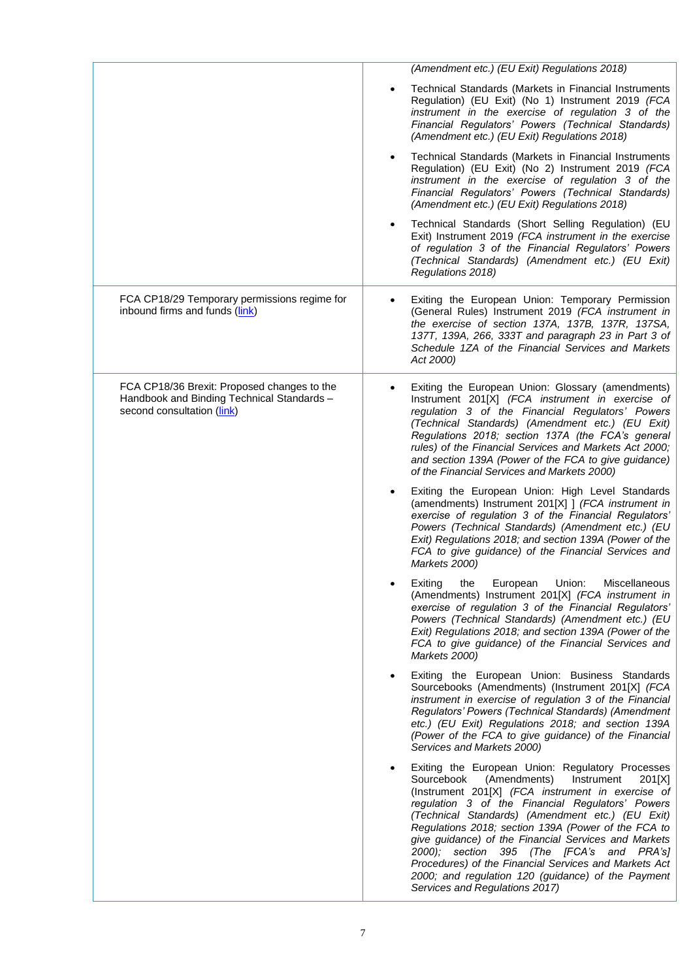|                                                                                                                         | (Amendment etc.) (EU Exit) Regulations 2018)                                                                                                                                                                                                                                                                                                                                                                                                                                                                                                                                     |
|-------------------------------------------------------------------------------------------------------------------------|----------------------------------------------------------------------------------------------------------------------------------------------------------------------------------------------------------------------------------------------------------------------------------------------------------------------------------------------------------------------------------------------------------------------------------------------------------------------------------------------------------------------------------------------------------------------------------|
|                                                                                                                         | Technical Standards (Markets in Financial Instruments<br>$\bullet$<br>Regulation) (EU Exit) (No 1) Instrument 2019 (FCA<br>instrument in the exercise of regulation 3 of the<br>Financial Regulators' Powers (Technical Standards)<br>(Amendment etc.) (EU Exit) Regulations 2018)                                                                                                                                                                                                                                                                                               |
|                                                                                                                         | Technical Standards (Markets in Financial Instruments<br>Regulation) (EU Exit) (No 2) Instrument 2019 (FCA<br>instrument in the exercise of regulation 3 of the<br>Financial Regulators' Powers (Technical Standards)<br>(Amendment etc.) (EU Exit) Regulations 2018)                                                                                                                                                                                                                                                                                                            |
|                                                                                                                         | Technical Standards (Short Selling Regulation) (EU<br>Exit) Instrument 2019 (FCA instrument in the exercise<br>of regulation 3 of the Financial Regulators' Powers<br>(Technical Standards) (Amendment etc.) (EU Exit)<br>Regulations 2018)                                                                                                                                                                                                                                                                                                                                      |
| FCA CP18/29 Temporary permissions regime for<br>inbound firms and funds (link)                                          | Exiting the European Union: Temporary Permission<br>(General Rules) Instrument 2019 (FCA instrument in<br>the exercise of section 137A, 137B, 137R, 137SA,<br>137T, 139A, 266, 333T and paragraph 23 in Part 3 of<br>Schedule 1ZA of the Financial Services and Markets<br>Act 2000)                                                                                                                                                                                                                                                                                             |
| FCA CP18/36 Brexit: Proposed changes to the<br>Handbook and Binding Technical Standards -<br>second consultation (link) | Exiting the European Union: Glossary (amendments)<br>Instrument 201[X] (FCA instrument in exercise of<br>regulation 3 of the Financial Regulators' Powers<br>(Technical Standards) (Amendment etc.) (EU Exit)<br>Regulations 2018; section 137A (the FCA's general<br>rules) of the Financial Services and Markets Act 2000;<br>and section 139A (Power of the FCA to give guidance)<br>of the Financial Services and Markets 2000)                                                                                                                                              |
|                                                                                                                         | Exiting the European Union: High Level Standards<br>(amendments) Instrument 201[X] ] (FCA instrument in<br>exercise of regulation 3 of the Financial Regulators'<br>Powers (Technical Standards) (Amendment etc.) (EU<br>Exit) Regulations 2018; and section 139A (Power of the<br>FCA to give guidance) of the Financial Services and<br>Markets 2000)                                                                                                                                                                                                                          |
|                                                                                                                         | Exiting the<br>European Union: Miscellaneous<br>(Amendments) Instrument 201[X] (FCA instrument in<br>exercise of regulation 3 of the Financial Regulators'<br>Powers (Technical Standards) (Amendment etc.) (EU<br>Exit) Regulations 2018; and section 139A (Power of the<br>FCA to give guidance) of the Financial Services and<br>Markets 2000)                                                                                                                                                                                                                                |
|                                                                                                                         | Exiting the European Union: Business Standards<br>Sourcebooks (Amendments) (Instrument 201[X] (FCA<br>instrument in exercise of regulation 3 of the Financial<br>Regulators' Powers (Technical Standards) (Amendment<br>etc.) (EU Exit) Regulations 2018; and section 139A<br>(Power of the FCA to give guidance) of the Financial<br>Services and Markets 2000)                                                                                                                                                                                                                 |
|                                                                                                                         | Exiting the European Union: Regulatory Processes<br>Sourcebook<br>(Amendments)<br>Instrument<br>201[X]<br>(Instrument 201[X] (FCA instrument in exercise of<br>regulation 3 of the Financial Regulators' Powers<br>(Technical Standards) (Amendment etc.) (EU Exit)<br>Regulations 2018; section 139A (Power of the FCA to<br>give guidance) of the Financial Services and Markets<br>2000); section 395 (The [FCA's and PRA's]<br>Procedures) of the Financial Services and Markets Act<br>2000; and regulation 120 (guidance) of the Payment<br>Services and Regulations 2017) |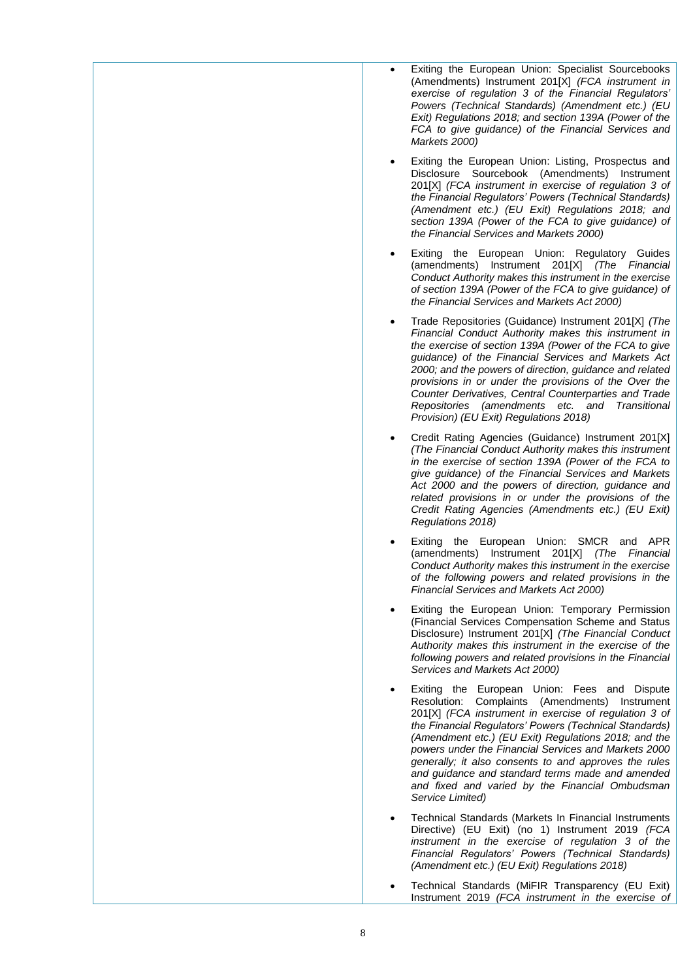- Exiting the European Union: Specialist Sourcebooks (Amendments) Instrument 201[X] *(FCA instrument in exercise of regulation 3 of the Financial Regulators' Powers (Technical Standards) (Amendment etc.) (EU Exit) Regulations 2018; and section 139A (Power of the FCA to give guidance) of the Financial Services and Markets 2000)*
- Exiting the European Union: Listing, Prospectus and Disclosure Sourcebook (Amendments) Instrument 201[X] *(FCA instrument in exercise of regulation 3 of the Financial Regulators' Powers (Technical Standards) (Amendment etc.) (EU Exit) Regulations 2018; and section 139A (Power of the FCA to give guidance) of the Financial Services and Markets 2000)*
- Exiting the European Union: Regulatory Guides (amendments) Instrument 201[X] *(The Financial Conduct Authority makes this instrument in the exercise of section 139A (Power of the FCA to give guidance) of the Financial Services and Markets Act 2000)*
- Trade Repositories (Guidance) Instrument 201[X] *(The Financial Conduct Authority makes this instrument in the exercise of section 139A (Power of the FCA to give guidance) of the Financial Services and Markets Act 2000; and the powers of direction, guidance and related provisions in or under the provisions of the Over the Counter Derivatives, Central Counterparties and Trade Repositories (amendments etc. and Transitional Provision) (EU Exit) Regulations 2018)*
- Credit Rating Agencies (Guidance) Instrument 201[X] *(The Financial Conduct Authority makes this instrument in the exercise of section 139A (Power of the FCA to give guidance) of the Financial Services and Markets Act 2000 and the powers of direction, guidance and related provisions in or under the provisions of the Credit Rating Agencies (Amendments etc.) (EU Exit) Regulations 2018)*
- Exiting the European Union: SMCR and APR (amendments) Instrument 201[X] *(The Financial Conduct Authority makes this instrument in the exercise of the following powers and related provisions in the Financial Services and Markets Act 2000)*
- Exiting the European Union: Temporary Permission (Financial Services Compensation Scheme and Status Disclosure) Instrument 201[X] *(The Financial Conduct Authority makes this instrument in the exercise of the following powers and related provisions in the Financial Services and Markets Act 2000)*
- Exiting the European Union: Fees and Dispute Resolution: Complaints (Amendments) Instrument 201[X] *(FCA instrument in exercise of regulation 3 of the Financial Regulators' Powers (Technical Standards) (Amendment etc.) (EU Exit) Regulations 2018; and the powers under the Financial Services and Markets 2000 generally; it also consents to and approves the rules and guidance and standard terms made and amended and fixed and varied by the Financial Ombudsman Service Limited)*
- Technical Standards (Markets In Financial Instruments Directive) (EU Exit) (no 1) Instrument 2019 *(FCA instrument in the exercise of regulation 3 of the Financial Regulators' Powers (Technical Standards) (Amendment etc.) (EU Exit) Regulations 2018)*
- Technical Standards (MiFIR Transparency (EU Exit) Instrument 2019 *(FCA instrument in the exercise of*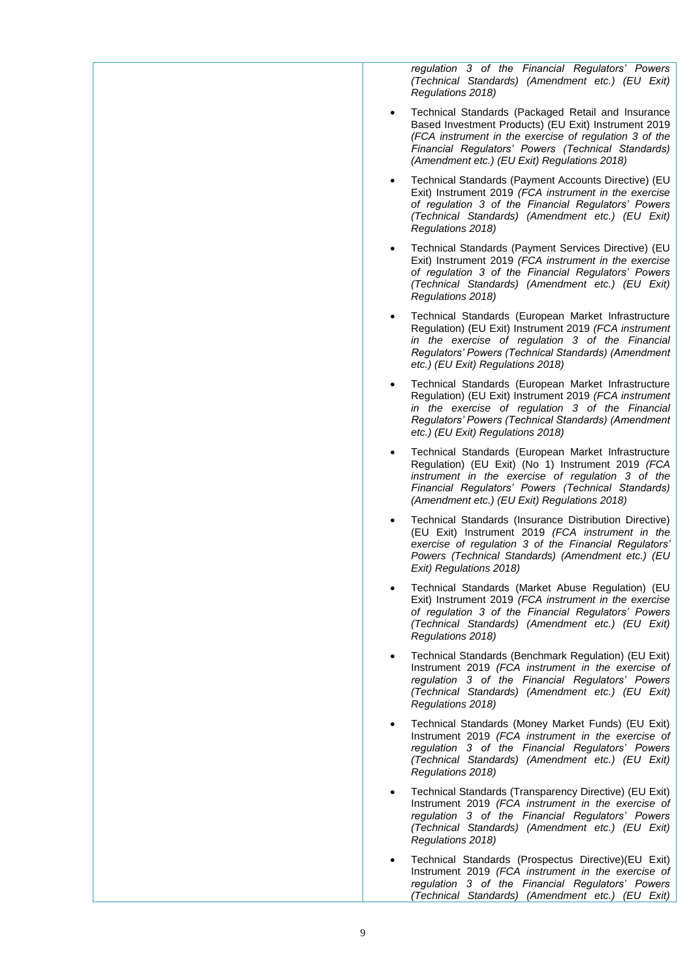*regulation 3 of the Financial Regulators' Powers (Technical Standards) (Amendment etc.) (EU Exit) Regulations 2018)*

- Technical Standards (Packaged Retail and Insurance Based Investment Products) (EU Exit) Instrument 2019 *(FCA instrument in the exercise of regulation 3 of the Financial Regulators' Powers (Technical Standards) (Amendment etc.) (EU Exit) Regulations 2018)*
- Technical Standards (Payment Accounts Directive) (EU Exit) Instrument 2019 *(FCA instrument in the exercise of regulation 3 of the Financial Regulators' Powers (Technical Standards) (Amendment etc.) (EU Exit) Regulations 2018)*
- Technical Standards (Payment Services Directive) (EU Exit) Instrument 2019 *(FCA instrument in the exercise of regulation 3 of the Financial Regulators' Powers (Technical Standards) (Amendment etc.) (EU Exit) Regulations 2018)*
- Technical Standards (European Market Infrastructure Regulation) (EU Exit) Instrument 2019 *(FCA instrument in the exercise of regulation 3 of the Financial Regulators' Powers (Technical Standards) (Amendment etc.) (EU Exit) Regulations 2018)*
- Technical Standards (European Market Infrastructure Regulation) (EU Exit) Instrument 2019 *(FCA instrument in the exercise of regulation 3 of the Financial Regulators' Powers (Technical Standards) (Amendment etc.) (EU Exit) Regulations 2018)*
- Technical Standards (European Market Infrastructure Regulation) (EU Exit) (No 1) Instrument 2019 *(FCA instrument in the exercise of regulation 3 of the Financial Regulators' Powers (Technical Standards) (Amendment etc.) (EU Exit) Regulations 2018)*
- Technical Standards (Insurance Distribution Directive) (EU Exit) Instrument 2019 *(FCA instrument in the exercise of regulation 3 of the Financial Regulators' Powers (Technical Standards) (Amendment etc.) (EU Exit) Regulations 2018)*
- Technical Standards (Market Abuse Regulation) (EU Exit) Instrument 2019 *(FCA instrument in the exercise of regulation 3 of the Financial Regulators' Powers (Technical Standards) (Amendment etc.) (EU Exit) Regulations 2018)*
- Technical Standards (Benchmark Regulation) (EU Exit) Instrument 2019 *(FCA instrument in the exercise of regulation 3 of the Financial Regulators' Powers (Technical Standards) (Amendment etc.) (EU Exit) Regulations 2018)*
- Technical Standards (Money Market Funds) (EU Exit) Instrument 2019 *(FCA instrument in the exercise of regulation 3 of the Financial Regulators' Powers (Technical Standards) (Amendment etc.) (EU Exit) Regulations 2018)*
- Technical Standards (Transparency Directive) (EU Exit) Instrument 2019 *(FCA instrument in the exercise of regulation 3 of the Financial Regulators' Powers (Technical Standards) (Amendment etc.) (EU Exit) Regulations 2018)*
- Technical Standards (Prospectus Directive)(EU Exit) Instrument 2019 *(FCA instrument in the exercise of regulation 3 of the Financial Regulators' Powers (Technical Standards) (Amendment etc.) (EU Exit)*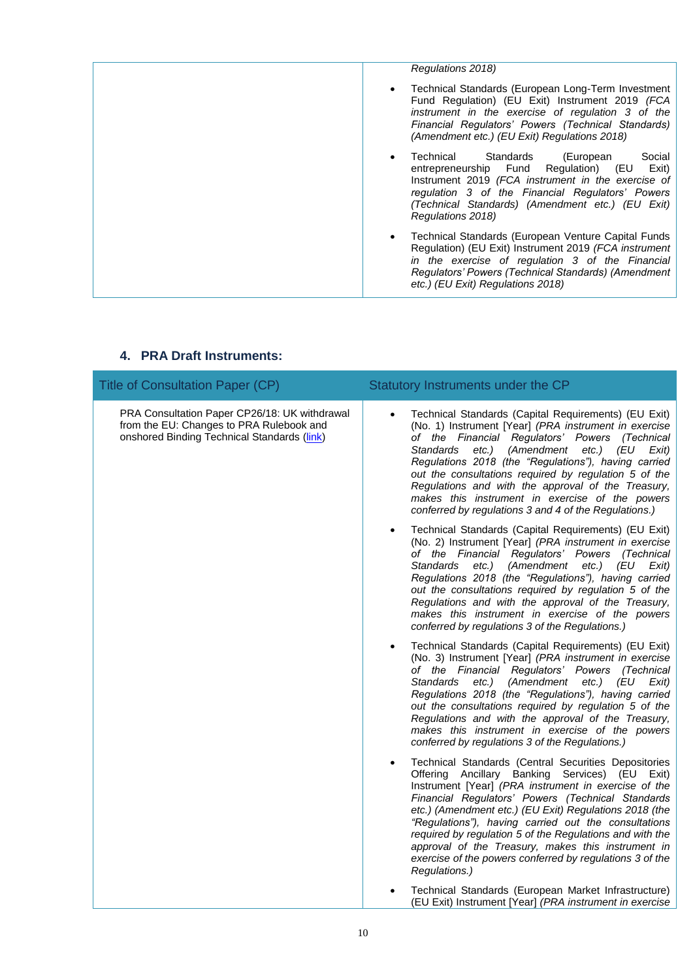| Regulations 2018)                                                                                                                                                                                                                                                            |
|------------------------------------------------------------------------------------------------------------------------------------------------------------------------------------------------------------------------------------------------------------------------------|
| Technical Standards (European Long-Term Investment<br>Fund Regulation) (EU Exit) Instrument 2019 (FCA<br>instrument in the exercise of regulation 3 of the<br>Financial Regulators' Powers (Technical Standards)<br>(Amendment etc.) (EU Exit) Regulations 2018)             |
| Technical Standards (European<br>Social<br>entrepreneurship Fund Regulation) (EU<br>Exit)<br>Instrument 2019 (FCA instrument in the exercise of<br>regulation 3 of the Financial Regulators' Powers<br>(Technical Standards) (Amendment etc.) (EU Exit)<br>Regulations 2018) |
| Technical Standards (European Venture Capital Funds<br>Regulation) (EU Exit) Instrument 2019 (FCA instrument<br>in the exercise of regulation 3 of the Financial<br>Regulators' Powers (Technical Standards) (Amendment<br>etc.) (EU Exit) Regulations 2018)                 |

| <b>Title of Consultation Paper (CP)</b>                                                                                                  | Statutory Instruments under the CP                                                                                                                                                                                                                                                                                                                                                                                                                                                                                                                |
|------------------------------------------------------------------------------------------------------------------------------------------|---------------------------------------------------------------------------------------------------------------------------------------------------------------------------------------------------------------------------------------------------------------------------------------------------------------------------------------------------------------------------------------------------------------------------------------------------------------------------------------------------------------------------------------------------|
| PRA Consultation Paper CP26/18: UK withdrawal<br>from the EU: Changes to PRA Rulebook and<br>onshored Binding Technical Standards (link) | Technical Standards (Capital Requirements) (EU Exit)<br>(No. 1) Instrument [Year] (PRA instrument in exercise<br>of the Financial Regulators' Powers (Technical<br>etc.) (Amendment<br>etc.) (EU Exit)<br>Standards<br>Regulations 2018 (the "Regulations"), having carried<br>out the consultations required by regulation 5 of the<br>Regulations and with the approval of the Treasury,<br>makes this instrument in exercise of the powers<br>conferred by regulations 3 and 4 of the Regulations.)                                            |
|                                                                                                                                          | Technical Standards (Capital Requirements) (EU Exit)<br>(No. 2) Instrument [Year] (PRA instrument in exercise<br>of the Financial Regulators' Powers (Technical<br>etc.) (Amendment<br>etc.) (EU Exit)<br>Standards<br>Regulations 2018 (the "Regulations"), having carried<br>out the consultations required by regulation 5 of the<br>Regulations and with the approval of the Treasury,<br>makes this instrument in exercise of the powers<br>conferred by regulations 3 of the Regulations.)                                                  |
|                                                                                                                                          | Technical Standards (Capital Requirements) (EU Exit)<br>(No. 3) Instrument [Year] (PRA instrument in exercise<br>of the Financial Regulators' Powers (Technical<br>etc.) (Amendment etc.) (EU Exit)<br>Standards<br>Regulations 2018 (the "Regulations"), having carried<br>out the consultations required by regulation 5 of the<br>Regulations and with the approval of the Treasury,<br>makes this instrument in exercise of the powers<br>conferred by regulations 3 of the Regulations.)                                                     |
|                                                                                                                                          | Technical Standards (Central Securities Depositories<br>$\bullet$<br>Offering Ancillary Banking Services) (EU Exit)<br>Instrument [Year] (PRA instrument in exercise of the<br>Financial Regulators' Powers (Technical Standards<br>etc.) (Amendment etc.) (EU Exit) Regulations 2018 (the<br>"Regulations"), having carried out the consultations<br>required by regulation 5 of the Regulations and with the<br>approval of the Treasury, makes this instrument in<br>exercise of the powers conferred by regulations 3 of the<br>Regulations.) |
|                                                                                                                                          | Technical Standards (European Market Infrastructure)<br>(EU Exit) Instrument [Year] (PRA instrument in exercise                                                                                                                                                                                                                                                                                                                                                                                                                                   |

### **4. PRA Draft Instruments:**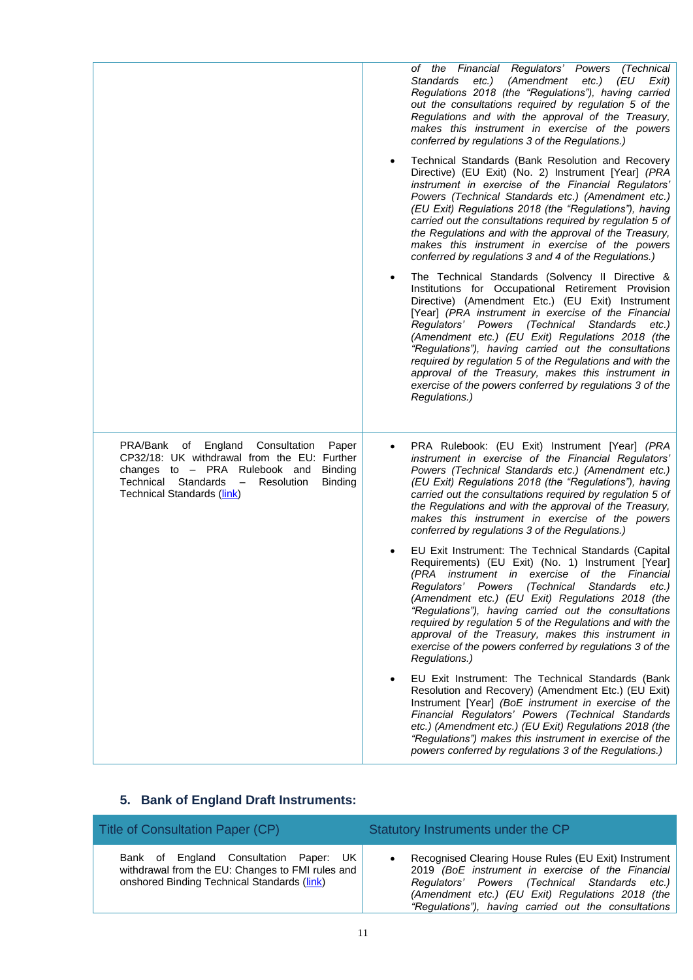|                                                                                                                                                                                                                                                                | of the Financial Regulators' Powers<br>(Technical<br><b>Standards</b><br>etc.) (Amendment<br>(EU<br>etc.)<br>Exit)<br>Regulations 2018 (the "Regulations"), having carried<br>out the consultations required by regulation 5 of the<br>Regulations and with the approval of the Treasury,<br>makes this instrument in exercise of the powers<br>conferred by regulations 3 of the Regulations.)                                                                                                                                                                                  |
|----------------------------------------------------------------------------------------------------------------------------------------------------------------------------------------------------------------------------------------------------------------|----------------------------------------------------------------------------------------------------------------------------------------------------------------------------------------------------------------------------------------------------------------------------------------------------------------------------------------------------------------------------------------------------------------------------------------------------------------------------------------------------------------------------------------------------------------------------------|
|                                                                                                                                                                                                                                                                | Technical Standards (Bank Resolution and Recovery<br>Directive) (EU Exit) (No. 2) Instrument [Year] (PRA<br>instrument in exercise of the Financial Regulators'<br>Powers (Technical Standards etc.) (Amendment etc.)<br>(EU Exit) Regulations 2018 (the "Regulations"), having<br>carried out the consultations required by regulation 5 of<br>the Regulations and with the approval of the Treasury,<br>makes this instrument in exercise of the powers<br>conferred by regulations 3 and 4 of the Regulations.)                                                               |
|                                                                                                                                                                                                                                                                | The Technical Standards (Solvency II Directive &<br>Institutions for Occupational Retirement Provision<br>Directive) (Amendment Etc.) (EU Exit) Instrument<br>[Year] (PRA instrument in exercise of the Financial<br>Regulators' Powers (Technical Standards<br>etc.)<br>(Amendment etc.) (EU Exit) Regulations 2018 (the<br>"Regulations"), having carried out the consultations<br>required by regulation 5 of the Regulations and with the<br>approval of the Treasury, makes this instrument in<br>exercise of the powers conferred by regulations 3 of the<br>Regulations.) |
| PRA/Bank<br>England<br>of<br>Consultation<br>Paper<br>CP32/18: UK withdrawal from the EU: Further<br>changes to - PRA Rulebook and<br><b>Binding</b><br>Technical Standards<br>Resolution<br>Binding<br>$\overline{\phantom{0}}$<br>Technical Standards (link) | PRA Rulebook: (EU Exit) Instrument [Year] (PRA<br>instrument in exercise of the Financial Regulators'<br>Powers (Technical Standards etc.) (Amendment etc.)<br>(EU Exit) Regulations 2018 (the "Regulations"), having<br>carried out the consultations required by regulation 5 of<br>the Regulations and with the approval of the Treasury,<br>makes this instrument in exercise of the powers<br>conferred by regulations 3 of the Regulations.)                                                                                                                               |
|                                                                                                                                                                                                                                                                | EU Exit Instrument: The Technical Standards (Capital<br>Requirements) (EU Exit) (No. 1) Instrument [Year]<br>(PRA instrument in exercise of the Financial<br>Regulators' Powers (Technical Standards<br>etc.)<br>(Amendment etc.) (EU Exit) Regulations 2018 (the<br>"Regulations"), having carried out the consultations<br>required by regulation 5 of the Regulations and with the<br>approval of the Treasury, makes this instrument in<br>exercise of the powers conferred by regulations 3 of the<br>Regulations.)                                                         |
|                                                                                                                                                                                                                                                                | EU Exit Instrument: The Technical Standards (Bank<br>Resolution and Recovery) (Amendment Etc.) (EU Exit)<br>Instrument [Year] (BoE instrument in exercise of the<br>Financial Regulators' Powers (Technical Standards<br>etc.) (Amendment etc.) (EU Exit) Regulations 2018 (the<br>"Regulations") makes this instrument in exercise of the<br>powers conferred by regulations 3 of the Regulations.)                                                                                                                                                                             |

## **5. Bank of England Draft Instruments:**

| Title of Consultation Paper (CP)                                                                                                          | Statutory Instruments under the CP                                                                                                                                                                                                                                     |
|-------------------------------------------------------------------------------------------------------------------------------------------|------------------------------------------------------------------------------------------------------------------------------------------------------------------------------------------------------------------------------------------------------------------------|
| Bank of England Consultation Paper: UK<br>withdrawal from the EU: Changes to FMI rules and<br>onshored Binding Technical Standards (link) | Recognised Clearing House Rules (EU Exit) Instrument<br>2019 (BoE instrument in exercise of the Financial<br>Regulators' Powers (Technical Standards etc.)<br>(Amendment etc.) (EU Exit) Regulations 2018 (the<br>"Regulations"), having carried out the consultations |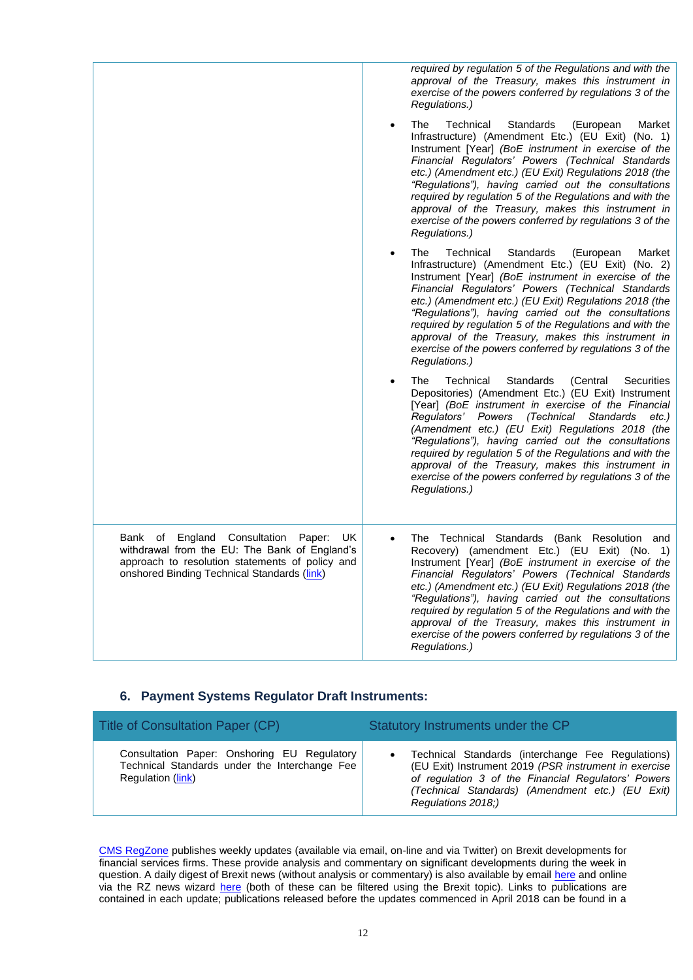|                                                                                                                                                                                                  | required by regulation 5 of the Regulations and with the<br>approval of the Treasury, makes this instrument in<br>exercise of the powers conferred by regulations 3 of the<br>Regulations.)                                                                                                                                                                                                                                                                                                                                                                  |
|--------------------------------------------------------------------------------------------------------------------------------------------------------------------------------------------------|--------------------------------------------------------------------------------------------------------------------------------------------------------------------------------------------------------------------------------------------------------------------------------------------------------------------------------------------------------------------------------------------------------------------------------------------------------------------------------------------------------------------------------------------------------------|
|                                                                                                                                                                                                  | Technical<br>Standards<br>The<br>(European<br>Market<br>$\bullet$<br>Infrastructure) (Amendment Etc.) (EU Exit) (No. 1)<br>Instrument [Year] (BoE instrument in exercise of the<br>Financial Regulators' Powers (Technical Standards<br>etc.) (Amendment etc.) (EU Exit) Regulations 2018 (the<br>"Regulations"), having carried out the consultations<br>required by regulation 5 of the Regulations and with the<br>approval of the Treasury, makes this instrument in<br>exercise of the powers conferred by regulations 3 of the<br>Regulations.)        |
|                                                                                                                                                                                                  | <b>Standards</b><br>The<br>Technical<br>(European<br>Market<br>$\bullet$<br>Infrastructure) (Amendment Etc.) (EU Exit) (No. 2)<br>Instrument [Year] (BoE instrument in exercise of the<br>Financial Regulators' Powers (Technical Standards<br>etc.) (Amendment etc.) (EU Exit) Regulations 2018 (the<br>"Regulations"), having carried out the consultations<br>required by regulation 5 of the Regulations and with the<br>approval of the Treasury, makes this instrument in<br>exercise of the powers conferred by regulations 3 of the<br>Regulations.) |
|                                                                                                                                                                                                  | Standards<br>The<br>Technical<br>(Central<br><b>Securities</b><br>Depositories) (Amendment Etc.) (EU Exit) Instrument<br>[Year] (BoE instrument in exercise of the Financial<br>Regulators' Powers (Technical<br>Standards<br>$etc.$ )<br>(Amendment etc.) (EU Exit) Regulations 2018 (the<br>"Regulations"), having carried out the consultations<br>required by regulation 5 of the Regulations and with the<br>approval of the Treasury, makes this instrument in<br>exercise of the powers conferred by regulations 3 of the<br>Regulations.)            |
| Bank of England Consultation<br>Paper:<br>UK.<br>withdrawal from the EU: The Bank of England's<br>approach to resolution statements of policy and<br>onshored Binding Technical Standards (link) | The Technical Standards (Bank Resolution and<br>Recovery) (amendment Etc.) (EU Exit) (No. 1)<br>Instrument [Year] (BoE instrument in exercise of the<br>Financial Regulators' Powers (Technical Standards<br>etc.) (Amendment etc.) (EU Exit) Regulations 2018 (the<br>"Regulations"), having carried out the consultations<br>required by regulation 5 of the Regulations and with the<br>approval of the Treasury, makes this instrument in<br>exercise of the powers conferred by regulations 3 of the<br>Regulations.)                                   |

### **6. Payment Systems Regulator Draft Instruments:**

| Title of Consultation Paper (CP)                                                                                  | Statutory Instruments under the CP                                                                                                                                                                                                          |
|-------------------------------------------------------------------------------------------------------------------|---------------------------------------------------------------------------------------------------------------------------------------------------------------------------------------------------------------------------------------------|
| Consultation Paper: Onshoring EU Regulatory<br>Technical Standards under the Interchange Fee<br>Regulation (link) | Technical Standards (interchange Fee Regulations)<br>(EU Exit) Instrument 2019 (PSR instrument in exercise<br>of regulation 3 of the Financial Regulators' Powers<br>(Technical Standards) (Amendment etc.) (EU Exit)<br>Regulations 2018;) |

[CMS RegZone](http://www.cms-lawnow.com/regzone) publishes weekly updates (available via email, on-line and via Twitter) on Brexit developments for financial services firms. These provide analysis and commentary on significant developments during the week in question. A daily digest of Brexit news (without analysis or commentary) is also available by email [here](http://www.cms-lawnow.com/regzone/registration) and online via the RZ news wizard [here](http://www.cms-lawnow.com/regzone/news) (both of these can be filtered using the Brexit topic). Links to publications are contained in each update; publications released before the updates commenced in April 2018 can be found in a